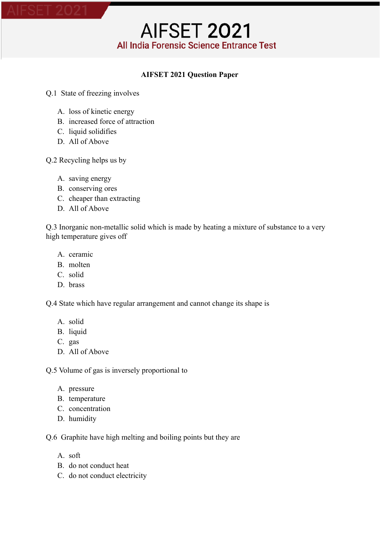#### **AIFSET 2021 Question Paper**

- Q.1 State of freezing involves
	- A. loss of kinetic energy
	- B. increased force of attraction
	- C. liquid solidifies
	- D. All of Above

Q.2 Recycling helps us by

- A. saving energy
- B. conserving ores
- C. cheaper than extracting
- D. All of Above

Q.3 Inorganic non-metallic solid which is made by heating a mixture of substance to a very high temperature gives off

- A. ceramic
- B. molten
- C. solid
- D. brass

Q.4 State which have regular arrangement and cannot change its shape is

- A. solid
- B. liquid
- C. gas
- D. All of Above

Q.5 Volume of gas is inversely proportional to

- A. pressure
- B. temperature
- C. concentration
- D. humidity

Q.6 Graphite have high melting and boiling points but they are

- A. soft
- B. do not conduct heat
- C. do not conduct electricity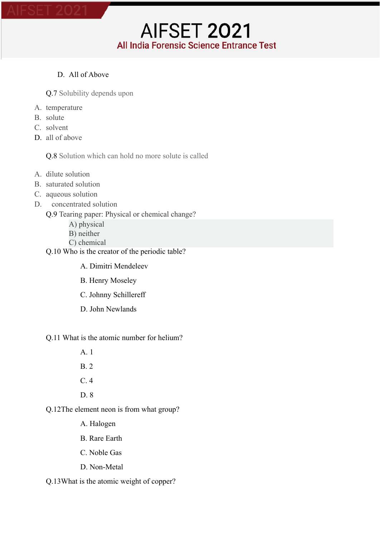#### D. All of Above

Q.7 Solubility depends upon

- A. temperature
- B. solute
- C. solvent
- D all of above

Q.8 Solution which can hold no more solute is called

AIFSET 2021

All India Forensic Science Entrance Test

- A. dilute solution
- B. saturated solution
- C. aqueous solution
- D. concentrated solution

Q.9 Tearing paper: Physical or chemical change?

- A) physical
- B) neither
- C) chemical
- Q.10 Who is the creator of the periodic table?
	- A. Dimitri Mendeleev
	- B. Henry Moseley
	- C. Johnny Schillereff
	- D. John Newlands

#### Q.11 What is the atomic number for helium?

A. 1

- B. 2
- C. 4
- D. 8

Q.12The element neon is from what group?

- A. Halogen
- B. Rare Earth
- C. Noble Gas
- D. Non-Metal

Q.13What is the atomic weight of copper?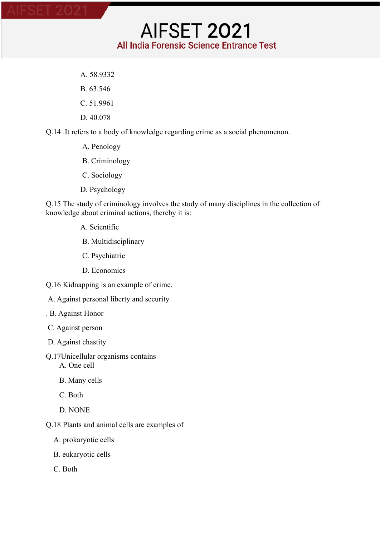- A. 58.9332
- B. 63.546
- C. 51.9961
- D. 40.078

Q.14 .It refers to a body of knowledge regarding crime as a social phenomenon.

- A. Penology
- B. Criminology
- C. Sociology
- D. Psychology

Q.15 The study of criminology involves the study of many disciplines in the collection of knowledge about criminal actions, thereby it is:

**AIFSET 2021** 

All India Forensic Science Entrance Test

- A. Scientific
- B. Multidisciplinary
- C. Psychiatric
- D. Economics
- Q.16 Kidnapping is an example of crime.
- A. Against personal liberty and security
- . B. Against Honor
- C. Against person
- D. Against chastity
- Q.17Unicellular organisms contains A. One cell
	- B. Many cells
	- C. Both
	- D. NONE
- Q.18 Plants and animal cells are examples of
	- A. prokaryotic cells
	- B. eukaryotic cells
	- C. Both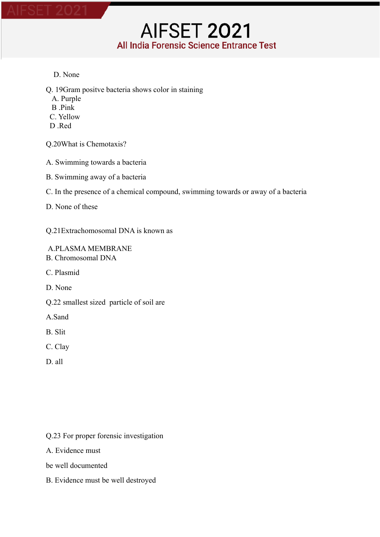#### D. None

Q. 19Gram positve bacteria shows color in staining

- A. Purple
- B .Pink
- C. Yellow
- D Red

Q.20What is Chemotaxis?

- A. Swimming towards a bacteria
- B. Swimming away of a bacteria
- C. In the presence of a chemical compound, swimming towards or away of a bacteria

**AIFSET 2021** 

All India Forensic Science Entrance Test

D. None of these

Q.21Extrachomosomal DNA is known as

A.PLASMA MEMBRANE B. Chromosomal DNA

C. Plasmid

D. None

Q.22 smallest sized particle of soil are

A.Sand

- B. Slit
- C. Clay
- D. all

Q.23 For proper forensic investigation

A. Evidence must

be well documented

B. Evidence must be well destroyed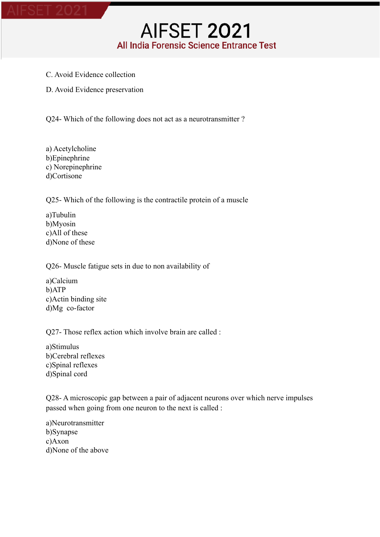- C. Avoid Evidence collection
- D. Avoid Evidence preservation

Q24- Which of the following does not act as a neurotransmitter ?

a) Acetylcholine b)Epinephrine c) Norepinephrine d)Cortisone

Q25- Which of the following is the contractile protein of a muscle

a)Tubulin b)Myosin c)All of these d)None of these

Q26- Muscle fatigue sets in due to non availability of

a)Calcium b)ATP c)Actin binding site d)Mg co-factor

Q27- Those reflex action which involve brain are called :

a)Stimulus b)Cerebral reflexes c)Spinal reflexes d)Spinal cord

Q28- A microscopic gap between a pair of adjacent neurons over which nerve impulses passed when going from one neuron to the next is called :

a)Neurotransmitter b)Synapse c)Axon d)None of the above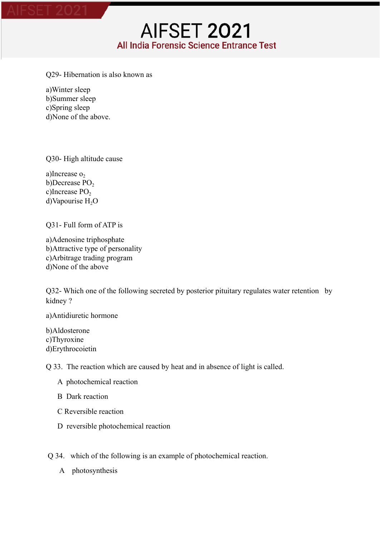Q29- Hibernation is also known as

a)Winter sleep b)Summer sleep c)Spring sleep d)None of the above.

Q30- High altitude cause

a)Increase  $o<sub>2</sub>$ b)Decrease PO<sub>2</sub> c)Increase  $PO<sub>2</sub>$ d)Vapourise H<sub>2</sub>O

Q31- Full form of ATP is

a)Adenosine triphosphate b)Attractive type of personality c)Arbitrage trading program d)None of the above

Q32- Which one of the following secreted by posterior pituitary regulates water retention by kidney ?

a)Antidiuretic hormone

b)Aldosterone c)Thyroxine d)Erythrocoietin

Q 33. The reaction which are caused by heat and in absence of light is called.

- A photochemical reaction
- B Dark reaction
- C Reversible reaction
- D reversible photochemical reaction

Q 34. which of the following is an example of photochemical reaction.

A photosynthesis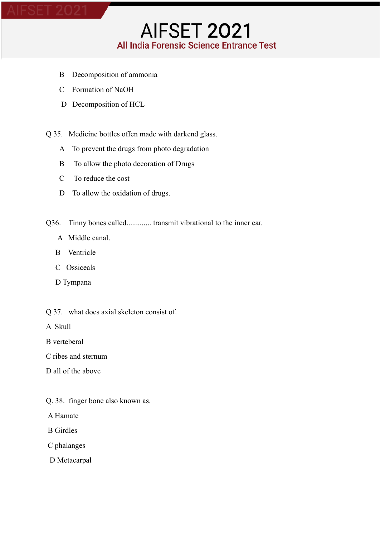- B Decomposition of ammonia
- C Formation of NaOH
- D Decomposition of HCL

Q 35. Medicine bottles offen made with darkend glass.

- A To prevent the drugs from photo degradation
- B To allow the photo decoration of Drugs
- C To reduce the cost
- D To allow the oxidation of drugs.
- Q36. Tinny bones called............. transmit vibrational to the inner ear.
	- A Middle canal.
	- B Ventricle
	- C Ossiceals
	- D Tympana
- Q 37. what does axial skeleton consist of.
- A Skull
- B verteberal
- C ribes and sternum
- D all of the above
- Q. 38. finger bone also known as.
- A Hamate
- B Girdles
- C phalanges
- D Metacarpal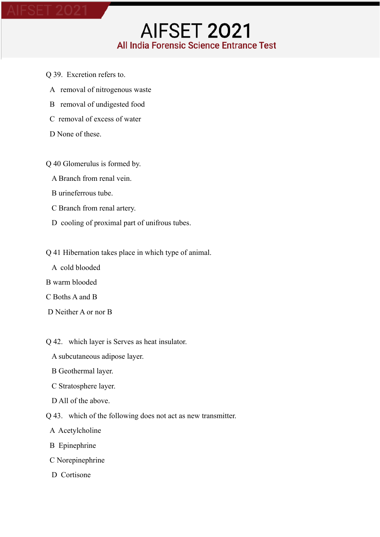- Q 39. Excretion refers to.
	- A removal of nitrogenous waste
	- B removal of undigested food
	- C removal of excess of water
	- D None of these.

Q 40 Glomerulus is formed by.

- A Branch from renal vein.
- B urineferrous tube.
- C Branch from renal artery.
- D cooling of proximal part of unifrous tubes.
- Q 41 Hibernation takes place in which type of animal.
	- A cold blooded
- B warm blooded
- C Boths A and B
- D Neither A or nor B
- Q 42. which layer is Serves as heat insulator.
	- A subcutaneous adipose layer.
	- B Geothermal layer.
	- C Stratosphere layer.
	- D All of the above.
- Q 43. which of the following does not act as new transmitter.
	- A Acetylcholine
	- B Epinephrine
	- C Norepinephrine
	- D Cortisone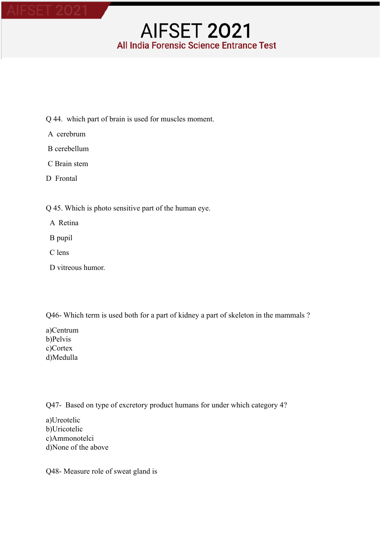- Q 44. which part of brain is used for muscles moment.
- A cerebrum
- B cerebellum
- C Brain stem
- D Frontal

Q 45. Which is photo sensitive part of the human eye.

- A Retina
- B pupil
- C lens
- D vitreous humor.

Q46- Which term is used both for a part of kidney a part of skeleton in the mammals ?

a)Centrum b)Pelvis c)Cortex d)Medulla

Q47- Based on type of excretory product humans for under which category 4?

a)Ureotelic b)Uricotelic c)Ammonotelci d)None of the above

Q48- Measure role of sweat gland is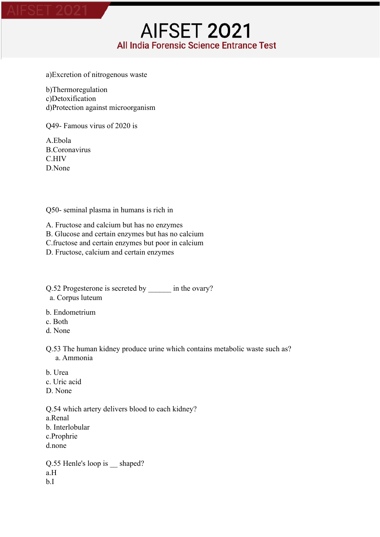a)Excretion of nitrogenous waste

b)Thermoregulation c)Detoxification d)Protection against microorganism

Q49- Famous virus of 2020 is

A.Ebola B.Coronavirus C.HIV D. None

Q50- seminal plasma in humans is rich in

A. Fructose and calcium but has no enzymes B. Glucose and certain enzymes but has no calcium C.fructose and certain enzymes but poor in calcium D. Fructose, calcium and certain enzymes

Q.52 Progesterone is secreted by \_\_\_\_\_\_ in the ovary? a. Corpus luteum

- b. Endometrium
- c. Both
- d. None
- Q.53 The human kidney produce urine which contains metabolic waste such as? a. Ammonia
- b. Urea c. Uric acid D. None

Q.54 which artery delivers blood to each kidney? a.Renal b. Interlobular c.Prophrie d.none

Q.55 Henle's loop is \_\_ shaped? a.H b.I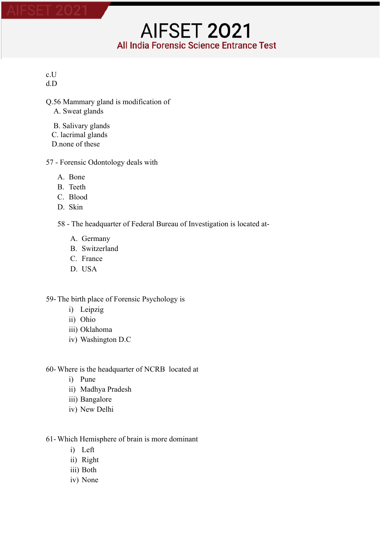c.U d.D

- Q.56 Mammary gland is modification of A. Sweat glands
	- B. Salivary glands
	- C. lacrimal glands
	- D none of these
- 57 Forensic Odontology deals with
	- A. Bone
	- B. Teeth
	- C. Blood
	- D. Skin
	- 58 The headquarter of Federal Bureau of Investigation is located at-
		- A. Germany
		- B. Switzerland
		- C. France
		- D. USA

#### 59- The birth place of Forensic Psychology is

- i) Leipzig
- ii) Ohio
- iii) Oklahoma
- iv) Washington D.C
- 60- Where is the headquarter of NCRB located at
	- i) Pune
	- ii) Madhya Pradesh
	- iii) Bangalore
	- iv) New Delhi

#### 61- Which Hemisphere of brain is more dominant

- i) Left
- ii) Right
- iii) Both
- iv) None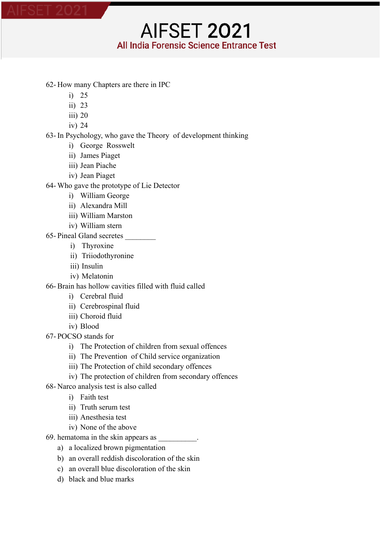- 62- How many Chapters are there in IPC
	- i) 25
	- ii) 23
	- iii) 20
	- iv) 24

63- In Psychology, who gave the Theory of development thinking

- i) George Rosswelt
- ii) James Piaget
- iii) Jean Piache
- iv) Jean Piaget

64- Who gave the prototype of Lie Detector

- i) William George
- ii) Alexandra Mill
- iii) William Marston
- iv) William stern
- 65- Pineal Gland secretes \_\_\_\_\_\_\_\_
	- i) Thyroxine
	- ii) Triiodothyronine
	- iii) Insulin
	- iv) Melatonin

66- Brain has hollow cavities filled with fluid called

- i) Cerebral fluid
- ii) Cerebrospinal fluid
- iii) Choroid fluid
- iv) Blood
- 67- POCSO stands for
	- i) The Protection of children from sexual offences
	- ii) The Prevention of Child service organization
	- iii) The Protection of child secondary offences
	- iv) The protection of children from secondary offences
- 68- Narco analysis test is also called
	- i) Faith test
	- ii) Truth serum test
	- iii) Anesthesia test
	- iv) None of the above
- 69. hematoma in the skin appears as \_\_\_\_\_\_\_\_\_\_.
	- a) a localized brown pigmentation
	- b) an overall reddish discoloration of the skin
	- c) an overall blue discoloration of the skin
	- d) black and blue marks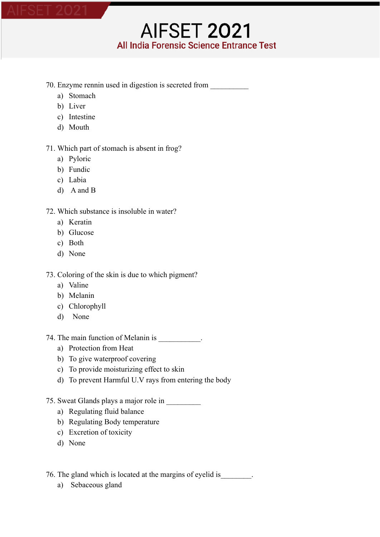#### 70. Enzyme rennin used in digestion is secreted from \_\_\_\_\_\_\_\_\_\_

- a) Stomach
- b) Liver
- c) Intestine
- d) Mouth

71. Which part of stomach is absent in frog?

- a) Pyloric
- b) Fundic
- c) Labia
- d) A and B

#### 72. Which substance is insoluble in water?

- a) Keratin
- b) Glucose
- c) Both
- d) None

73. Coloring of the skin is due to which pigment?

- a) Valine
- b) Melanin
- c) Chlorophyll
- d) None

74. The main function of Melanin is  $\blacksquare$ 

- a) Protection from Heat
- b) To give waterproof covering
- c) To provide moisturizing effect to skin
- d) To prevent Harmful U.V rays from entering the body
- 75. Sweat Glands plays a major role in \_\_\_\_\_\_\_\_\_
	- a) Regulating fluid balance
	- b) Regulating Body temperature
	- c) Excretion of toxicity
	- d) None

76. The gland which is located at the margins of eyelid is\_\_\_\_\_\_\_\_.

a) Sebaceous gland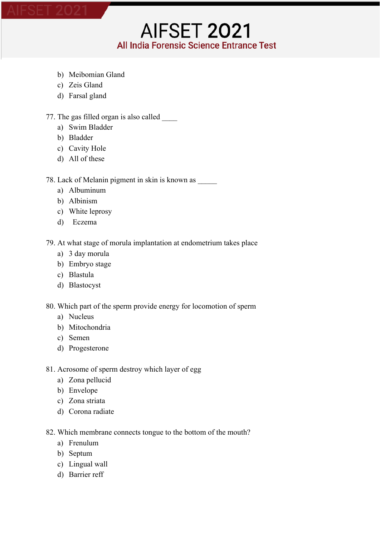- b) Meibomian Gland
- c) Zeis Gland
- d) Farsal gland

#### 77. The gas filled organ is also called

- a) Swim Bladder
- b) Bladder
- c) Cavity Hole
- d) All of these

78. Lack of Melanin pigment in skin is known as

- a) Albuminum
- b) Albinism
- c) White leprosy
- d) Eczema

79. At what stage of morula implantation at endometrium takes place

**AIFSET 2021** 

All India Forensic Science Entrance Test

- a) 3 day morula
- b) Embryo stage
- c) Blastula
- d) Blastocyst

80. Which part of the sperm provide energy for locomotion of sperm

- a) Nucleus
- b) Mitochondria
- c) Semen
- d) Progesterone
- 81. Acrosome of sperm destroy which layer of egg
	- a) Zona pellucid
	- b) Envelope
	- c) Zona striata
	- d) Corona radiate

82. Which membrane connects tongue to the bottom of the mouth?

- a) Frenulum
- b) Septum
- c) Lingual wall
- d) Barrier reff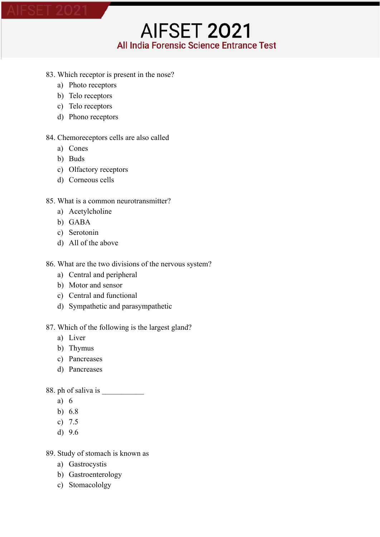#### 83. Which receptor is present in the nose?

**AIFSET 2021** 

All India Forensic Science Entrance Test

- a) Photo receptors
- b) Telo receptors
- c) Telo receptors
- d) Phono receptors

#### 84. Chemoreceptors cells are also called

- a) Cones
- b) Buds
- c) Olfactory receptors
- d) Corneous cells

#### 85. What is a common neurotransmitter?

- a) Acetylcholine
- b) GABA
- c) Serotonin
- d) All of the above

#### 86. What are the two divisions of the nervous system?

- a) Central and peripheral
- b) Motor and sensor
- c) Central and functional
- d) Sympathetic and parasympathetic

#### 87. Which of the following is the largest gland?

- a) Liver
- b) Thymus
- c) Pancreases
- d) Pancreases

#### 88. ph of saliva is

- a) 6
- b) 6.8
- c) 7.5
- d) 9.6
- 89. Study of stomach is known as
	- a) Gastrocystis
	- b) Gastroenterology
	- c) Stomacololgy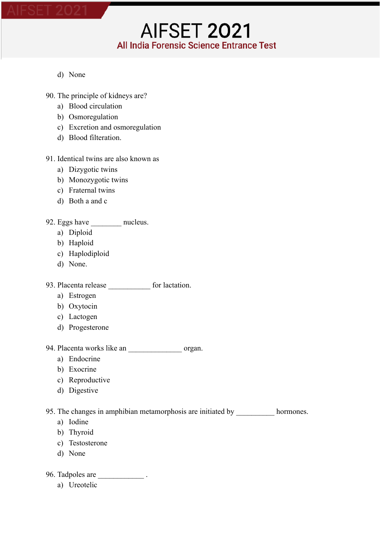- d) None
- 90. The principle of kidneys are?
	- a) Blood circulation
	- b) Osmoregulation
	- c) Excretion and osmoregulation
	- d) Blood filteration.

#### 91. Identical twins are also known as

- a) Dizygotic twins
- b) Monozygotic twins
- c) Fraternal twins
- d) Both a and c

#### 92. Eggs have mucleus.

- a) Diploid
- b) Haploid
- c) Haplodiploid
- d) None.

### 93. Placenta release \_\_\_\_\_\_\_\_\_\_\_ for lactation.

- a) Estrogen
- b) Oxytocin
- c) Lactogen
- d) Progesterone

#### 94. Placenta works like an \_\_\_\_\_\_\_\_\_\_\_\_\_\_\_\_\_ organ.

- a) Endocrine
- b) Exocrine
- c) Reproductive
- d) Digestive

### 95. The changes in amphibian metamorphosis are initiated by \_\_\_\_\_\_\_\_\_\_\_\_ hormones.

- a) Iodine
- b) Thyroid
- c) Testosterone
- d) None

96. Tadpoles are \_\_\_\_\_\_\_\_\_\_\_\_\_\_\_\_.

a) Ureotelic